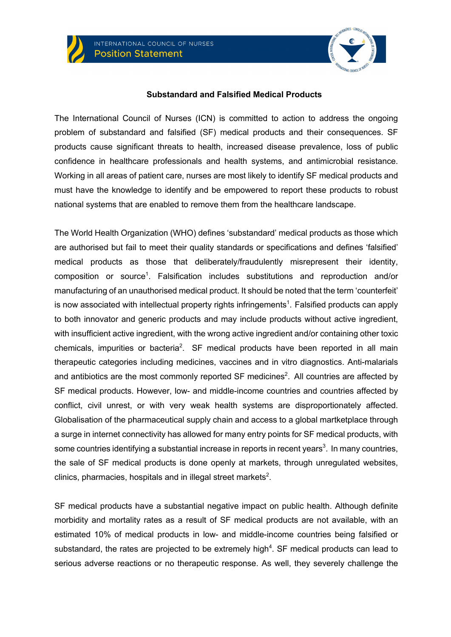



#### **Substandard and Falsified Medical Products**

The International Council of Nurses (ICN) is committed to action to address the ongoing problem of substandard and falsified (SF) medical products and their consequences. SF products cause significant threats to health, increased disease prevalence, loss of public confidence in healthcare professionals and health systems, and antimicrobial resistance. Working in all areas of patient care, nurses are most likely to identify SF medical products and must have the knowledge to identify and be empowered to report these products to robust national systems that are enabled to remove them from the healthcare landscape.

The World Health Organization (WHO) defines 'substandard' medical products as those which are authorised but fail to meet their quality standards or specifications and defines 'falsified' medical products as those that deliberately/fraudulently misrepresent their identity, composition or source<sup>1</sup>. Falsification includes substitutions and reproduction and/or manufacturing of an unauthorised medical product. It should be noted that the term 'counterfeit' is now associated with intellectual property rights infringements<sup>1</sup>. Falsified products can apply to both innovator and generic products and may include products without active ingredient, with insufficient active ingredient, with the wrong active ingredient and/or containing other toxic chemicals, impurities or bacteria<sup>2</sup>. SF medical products have been reported in all main therapeutic categories including medicines, vaccines and in vitro diagnostics. Anti-malarials and antibiotics are the most commonly reported SF medicines<sup>2</sup>. All countries are affected by SF medical products. However, low- and middle-income countries and countries affected by conflict, civil unrest, or with very weak health systems are disproportionately affected. Globalisation of the pharmaceutical supply chain and access to a global martketplace through a surge in internet connectivity has allowed for many entry points for SF medical products, with some countries identifying a substantial increase in reports in recent years<sup>3</sup>. In many countries, the sale of SF medical products is done openly at markets, through unregulated websites, clinics, pharmacies, hospitals and in illegal street markets<sup>2</sup>.

SF medical products have a substantial negative impact on public health. Although definite morbidity and mortality rates as a result of SF medical products are not available, with an estimated 10% of medical products in low- and middle-income countries being falsified or substandard, the rates are projected to be extremely high<sup>4</sup>. SF medical products can lead to serious adverse reactions or no therapeutic response. As well, they severely challenge the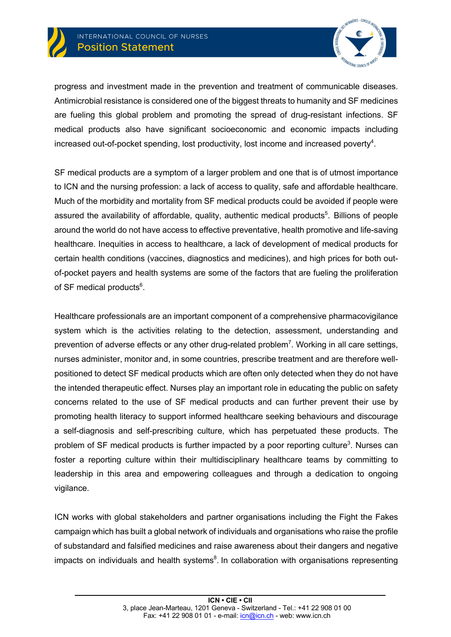

progress and investment made in the prevention and treatment of communicable diseases. Antimicrobial resistance is considered one of the biggest threats to humanity and SF medicines are fueling this global problem and promoting the spread of drug-resistant infections. SF medical products also have significant socioeconomic and economic impacts including increased out-of-pocket spending, lost productivity, lost income and increased poverty<sup>4</sup>.

SF medical products are a symptom of a larger problem and one that is of utmost importance to ICN and the nursing profession: a lack of access to quality, safe and affordable healthcare. Much of the morbidity and mortality from SF medical products could be avoided if people were assured the availability of affordable, quality, authentic medical products<sup>5</sup>. Billions of people around the world do not have access to effective preventative, health promotive and life-saving healthcare. Inequities in access to healthcare, a lack of development of medical products for certain health conditions (vaccines, diagnostics and medicines), and high prices for both outof-pocket payers and health systems are some of the factors that are fueling the proliferation of SF medical products<sup>6</sup>.

Healthcare professionals are an important component of a comprehensive pharmacovigilance system which is the activities relating to the detection, assessment, understanding and prevention of adverse effects or any other drug-related problem<sup>7</sup>. Working in all care settings, nurses administer, monitor and, in some countries, prescribe treatment and are therefore wellpositioned to detect SF medical products which are often only detected when they do not have the intended therapeutic effect. Nurses play an important role in educating the public on safety concerns related to the use of SF medical products and can further prevent their use by promoting health literacy to support informed healthcare seeking behaviours and discourage a self-diagnosis and self-prescribing culture, which has perpetuated these products. The problem of SF medical products is further impacted by a poor reporting culture<sup>3</sup>. Nurses can foster a reporting culture within their multidisciplinary healthcare teams by committing to leadership in this area and empowering colleagues and through a dedication to ongoing vigilance.

ICN works with global stakeholders and partner organisations including the Fight the Fakes campaign which has built a global network of individuals and organisations who raise the profile of substandard and falsified medicines and raise awareness about their dangers and negative impacts on individuals and health systems $8$ . In collaboration with organisations representing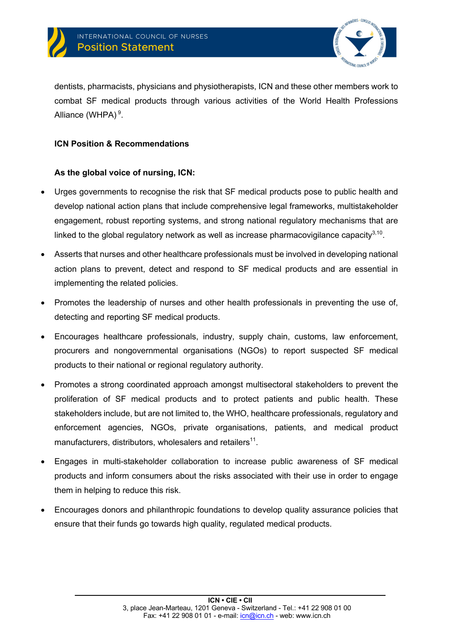



dentists, pharmacists, physicians and physiotherapists, ICN and these other members work to combat SF medical products through various activities of the World Health Professions Alliance (WHPA)<sup>9</sup>.

### **ICN Position & Recommendations**

## **As the global voice of nursing, ICN:**

- Urges governments to recognise the risk that SF medical products pose to public health and develop national action plans that include comprehensive legal frameworks, multistakeholder engagement, robust reporting systems, and strong national regulatory mechanisms that are linked to the global regulatory network as well as increase pharmacovigilance capacity $3,10$ .
- Asserts that nurses and other healthcare professionals must be involved in developing national action plans to prevent, detect and respond to SF medical products and are essential in implementing the related policies.
- Promotes the leadership of nurses and other health professionals in preventing the use of, detecting and reporting SF medical products.
- Encourages healthcare professionals, industry, supply chain, customs, law enforcement, procurers and nongovernmental organisations (NGOs) to report suspected SF medical products to their national or regional regulatory authority.
- Promotes a strong coordinated approach amongst multisectoral stakeholders to prevent the proliferation of SF medical products and to protect patients and public health. These stakeholders include, but are not limited to, the WHO, healthcare professionals, regulatory and enforcement agencies, NGOs, private organisations, patients, and medical product manufacturers, distributors, wholesalers and retailers<sup>11</sup>.
- Engages in multi-stakeholder collaboration to increase public awareness of SF medical products and inform consumers about the risks associated with their use in order to engage them in helping to reduce this risk.
- Encourages donors and philanthropic foundations to develop quality assurance policies that ensure that their funds go towards high quality, regulated medical products.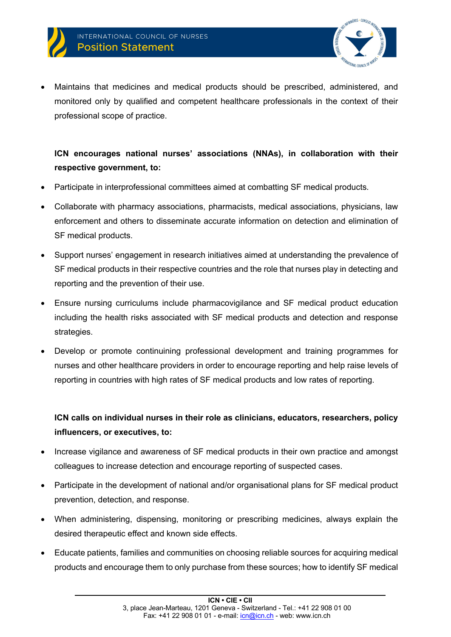

• Maintains that medicines and medical products should be prescribed, administered, and monitored only by qualified and competent healthcare professionals in the context of their professional scope of practice.

## **ICN encourages national nurses' associations (NNAs), in collaboration with their respective government, to:**

- Participate in interprofessional committees aimed at combatting SF medical products.
- Collaborate with pharmacy associations, pharmacists, medical associations, physicians, law enforcement and others to disseminate accurate information on detection and elimination of SF medical products.
- Support nurses' engagement in research initiatives aimed at understanding the prevalence of SF medical products in their respective countries and the role that nurses play in detecting and reporting and the prevention of their use.
- Ensure nursing curriculums include pharmacovigilance and SF medical product education including the health risks associated with SF medical products and detection and response strategies.
- Develop or promote continuining professional development and training programmes for nurses and other healthcare providers in order to encourage reporting and help raise levels of reporting in countries with high rates of SF medical products and low rates of reporting.

# **ICN calls on individual nurses in their role as clinicians, educators, researchers, policy influencers, or executives, to:**

- Increase vigilance and awareness of SF medical products in their own practice and amongst colleagues to increase detection and encourage reporting of suspected cases.
- Participate in the development of national and/or organisational plans for SF medical product prevention, detection, and response.
- When administering, dispensing, monitoring or prescribing medicines, always explain the desired therapeutic effect and known side effects.
- Educate patients, families and communities on choosing reliable sources for acquiring medical products and encourage them to only purchase from these sources; how to identify SF medical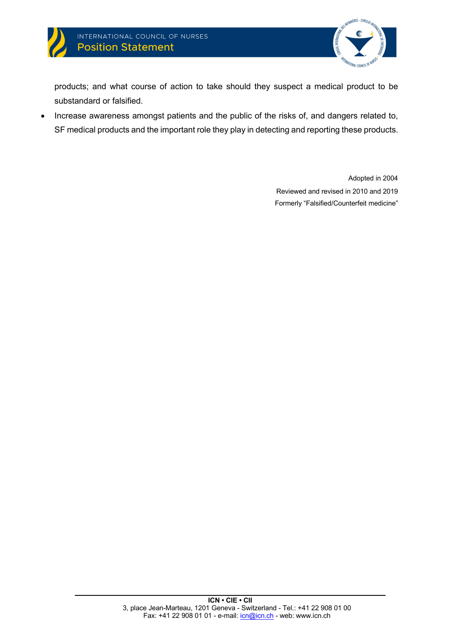



products; and what course of action to take should they suspect a medical product to be substandard or falsified.

• Increase awareness amongst patients and the public of the risks of, and dangers related to, SF medical products and the important role they play in detecting and reporting these products.

> Adopted in 2004 Reviewed and revised in 2010 and 2019 Formerly "Falsified/Counterfeit medicine"